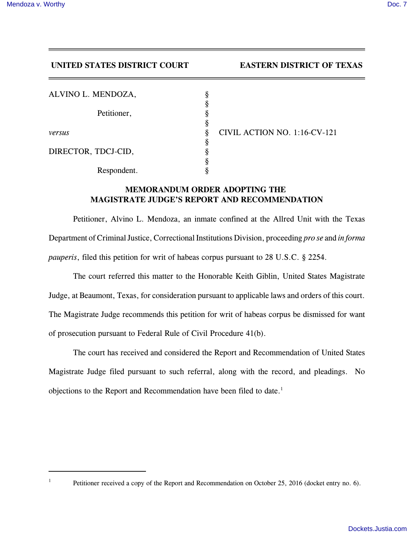## **UNITED STATES DISTRICT COURT EASTERN DISTRICT OF TEXAS**

| ALVINO L. MENDOZA,  | ş |
|---------------------|---|
| Petitioner,         | ş |
|                     | ş |
|                     | § |
| versus              | 8 |
|                     | § |
| DIRECTOR, TDCJ-CID, | ş |
|                     | 8 |
| Respondent.         |   |

*versus* § CIVIL ACTION NO. 1:16-CV-121

## **MEMORANDUM ORDER ADOPTING THE MAGISTRATE JUDGE'S REPORT AND RECOMMENDATION**

Petitioner, Alvino L. Mendoza, an inmate confined at the Allred Unit with the Texas Department of Criminal Justice, Correctional Institutions Division, proceeding *pro se* and *in forma pauperis*, filed this petition for writ of habeas corpus pursuant to 28 U.S.C. § 2254.

The court referred this matter to the Honorable Keith Giblin, United States Magistrate Judge, at Beaumont, Texas, for consideration pursuant to applicable laws and orders of this court. The Magistrate Judge recommends this petition for writ of habeas corpus be dismissed for want of prosecution pursuant to Federal Rule of Civil Procedure 41(b).

The court has received and considered the Report and Recommendation of United States Magistrate Judge filed pursuant to such referral, along with the record, and pleadings. No objections to the Report and Recommendation have been filed to date.<sup>1</sup>

<sup>1</sup>

Petitioner received a copy of the Report and Recommendation on October 25, 2016 (docket entry no. 6).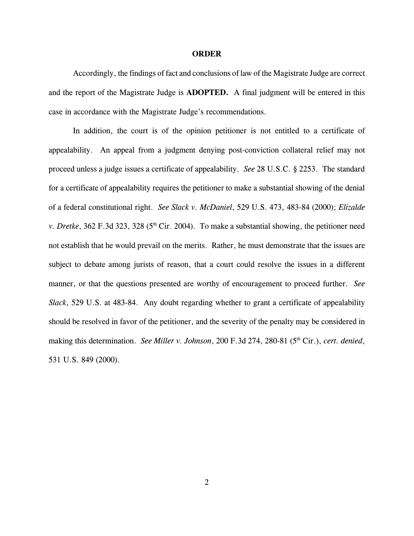## **ORDER**

Accordingly, the findings of fact and conclusions of law of the Magistrate Judge are correct and the report of the Magistrate Judge is **ADOPTED.** A final judgment will be entered in this case in accordance with the Magistrate Judge's recommendations.

In addition, the court is of the opinion petitioner is not entitled to a certificate of appealability. An appeal from a judgment denying post-conviction collateral relief may not proceed unless a judge issues a certificate of appealability. *See* 28 U.S.C. § 2253. The standard for a certificate of appealability requires the petitioner to make a substantial showing of the denial of a federal constitutional right. *See Slack v. McDaniel*, 529 U.S. 473, 483-84 (2000); *Elizalde v. Dretke*, 362 F.3d 323, 328 ( $5<sup>th</sup>$  Cir. 2004). To make a substantial showing, the petitioner need not establish that he would prevail on the merits. Rather, he must demonstrate that the issues are subject to debate among jurists of reason, that a court could resolve the issues in a different manner, or that the questions presented are worthy of encouragement to proceed further. *See Slack*, 529 U.S. at 483-84. Any doubt regarding whether to grant a certificate of appealability should be resolved in favor of the petitioner, and the severity of the penalty may be considered in making this determination. *See Miller v. Johnson*, 200 F.3d 274, 280-81 (5<sup>th</sup> Cir.), *cert. denied*, 531 U.S. 849 (2000).